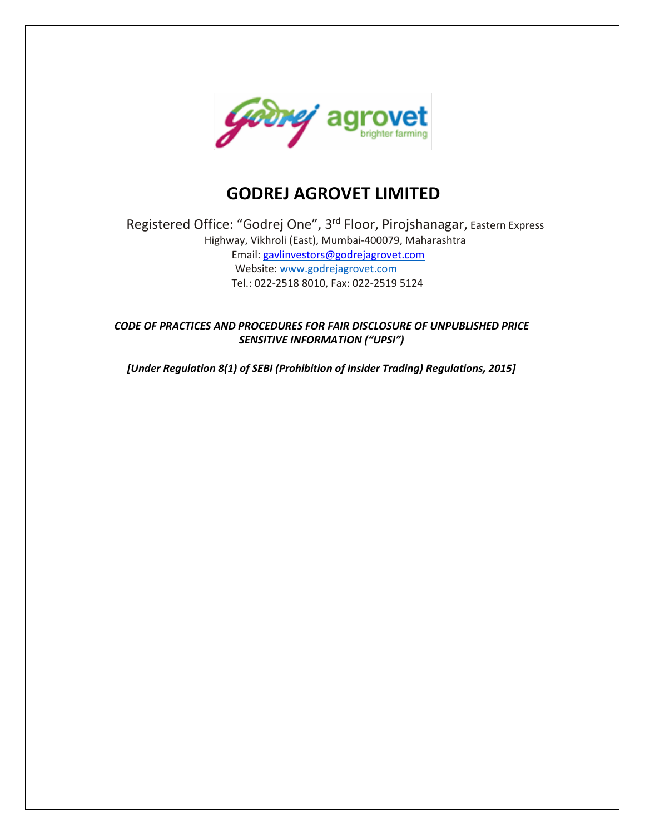

# **GODREJ AGROVET LIMITED**

Registered Office: "Godrej One", 3rd Floor, Pirojshanagar, Eastern Express Highway, Vikhroli (East), Mumbai-400079, Maharashtra Email: [gavlinvestors@godrejagrovet.com](mailto:gavlinvestors@godrejagrovet.com) Website: www.godrejagrovet.com Tel.: 022-2518 8010, Fax: 022-2519 5124

*CODE OF PRACTICES AND PROCEDURES FOR FAIR DISCLOSURE OF UNPUBLISHED PRICE SENSITIVE INFORMATION ("UPSI")*

*[Under Regulation 8(1) of SEBI (Prohibition of Insider Trading) Regulations, 2015]*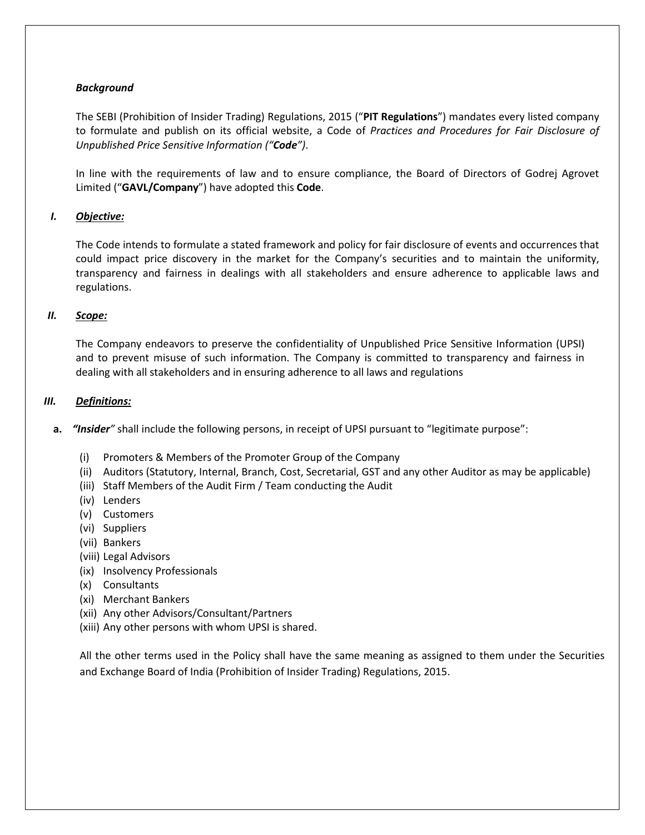# *Background*

The SEBI (Prohibition of Insider Trading) Regulations, 2015 ("**PIT Regulations**") mandates every listed company to formulate and publish on its official website, a Code of *Practices and Procedures for Fair Disclosure of Unpublished Price Sensitive Information ("Code")*.

In line with the requirements of law and to ensure compliance, the Board of Directors of Godrej Agrovet Limited ("**GAVL/Company**") have adopted this **Code**.

# *I. Objective:*

The Code intends to formulate a stated framework and policy for fair disclosure of events and occurrences that could impact price discovery in the market for the Company's securities and to maintain the uniformity, transparency and fairness in dealings with all stakeholders and ensure adherence to applicable laws and regulations.

# *II. Scope:*

The Company endeavors to preserve the confidentiality of Unpublished Price Sensitive Information (UPSI) and to prevent misuse of such information. The Company is committed to transparency and fairness in dealing with all stakeholders and in ensuring adherence to all laws and regulations

#### *III. Definitions:*

- **a.** *"Insider"* shall include the following persons, in receipt of UPSI pursuant to "legitimate purpose":
	- (i) Promoters & Members of the Promoter Group of the Company
	- (ii) Auditors (Statutory, Internal, Branch, Cost, Secretarial, GST and any other Auditor as may be applicable)
	- (iii) Staff Members of the Audit Firm / Team conducting the Audit
	- (iv) Lenders
	- (v) Customers
	- (vi) Suppliers
	- (vii) Bankers
	- (viii) Legal Advisors
	- (ix) Insolvency Professionals
	- (x) Consultants
	- (xi) Merchant Bankers
	- (xii) Any other Advisors/Consultant/Partners
	- (xiii) Any other persons with whom UPSI is shared.

All the other terms used in the Policy shall have the same meaning as assigned to them under the Securities and Exchange Board of India (Prohibition of Insider Trading) Regulations, 2015.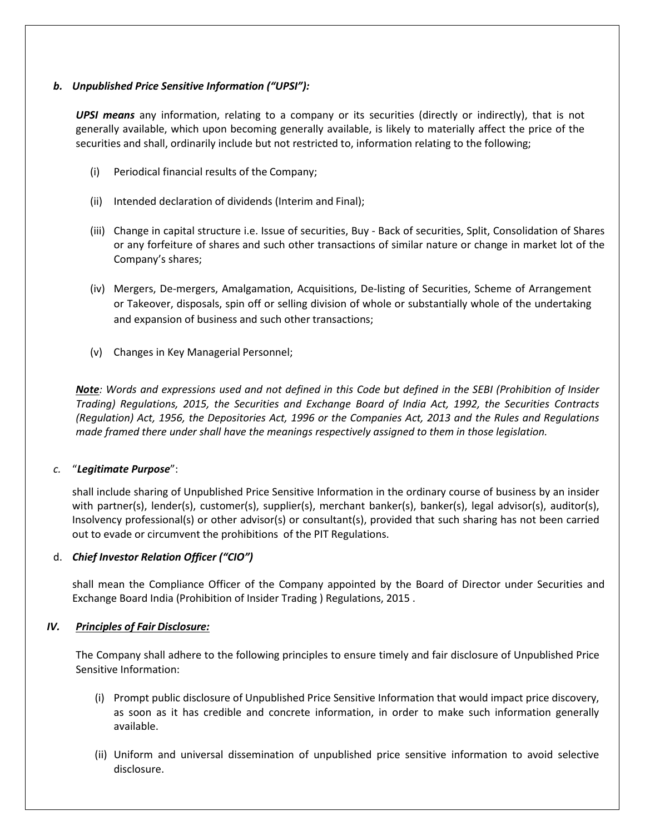# *b. Unpublished Price Sensitive Information ("UPSI"):*

*UPSI means* any information, relating to a company or its securities (directly or indirectly), that is not generally available, which upon becoming generally available, is likely to materially affect the price of the securities and shall, ordinarily include but not restricted to, information relating to the following;

- (i) Periodical financial results of the Company;
- (ii) Intended declaration of dividends (Interim and Final);
- (iii) Change in capital structure i.e. Issue of securities, Buy Back of securities, Split, Consolidation of Shares or any forfeiture of shares and such other transactions of similar nature or change in market lot of the Company's shares;
- (iv) Mergers, De-mergers, Amalgamation, Acquisitions, De-listing of Securities, Scheme of Arrangement or Takeover, disposals, spin off or selling division of whole or substantially whole of the undertaking and expansion of business and such other transactions;
- (v) Changes in Key Managerial Personnel;

Note: Words and expressions used and not defined in this Code but defined in the SEBI (Prohibition of Insider *Trading) Regulations, 2015, the Securities and Exchange Board of India Act, 1992, the Securities Contracts (Regulation) Act, 1956, the Depositories Act, 1996 or the Companies Act, 2013 and the Rules and Regulations made framed there under shall have the meanings respectively assigned to them in those legislation.*

# *c.* "*Legitimate Purpose*":

shall include sharing of Unpublished Price Sensitive Information in the ordinary course of business by an insider with partner(s), lender(s), customer(s), supplier(s), merchant banker(s), banker(s), legal advisor(s), auditor(s), Insolvency professional(s) or other advisor(s) or consultant(s), provided that such sharing has not been carried out to evade or circumvent the prohibitions of the PIT Regulations.

# d. *Chief Investor Relation Officer ("CIO")*

shall mean the Compliance Officer of the Company appointed by the Board of Director under Securities and Exchange Board India (Prohibition of Insider Trading ) Regulations, 2015 .

# *IV. Principles of Fair Disclosure:*

The Company shall adhere to the following principles to ensure timely and fair disclosure of Unpublished Price Sensitive Information:

- (i) Prompt public disclosure of Unpublished Price Sensitive Information that would impact price discovery, as soon as it has credible and concrete information, in order to make such information generally available.
- (ii) Uniform and universal dissemination of unpublished price sensitive information to avoid selective disclosure.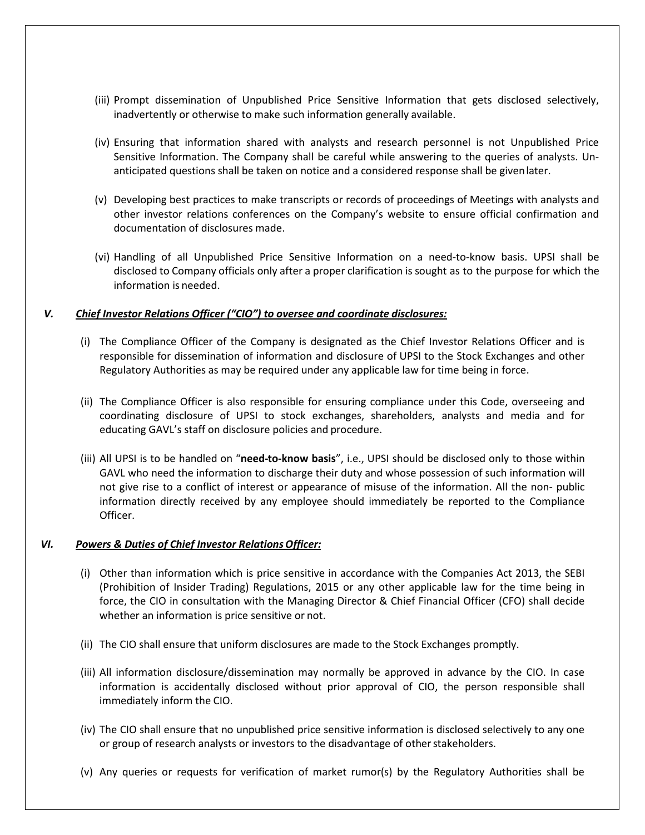- (iii) Prompt dissemination of Unpublished Price Sensitive Information that gets disclosed selectively, inadvertently or otherwise to make such information generally available.
- (iv) Ensuring that information shared with analysts and research personnel is not Unpublished Price Sensitive Information. The Company shall be careful while answering to the queries of analysts. Unanticipated questions shall be taken on notice and a considered response shall be givenlater.
- (v) Developing best practices to make transcripts or records of proceedings of Meetings with analysts and other investor relations conferences on the Company's website to ensure official confirmation and documentation of disclosures made.
- (vi) Handling of all Unpublished Price Sensitive Information on a need-to-know basis. UPSI shall be disclosed to Company officials only after a proper clarification is sought as to the purpose for which the information is needed.

#### *V. Chief Investor Relations Officer ("CIO") to oversee and coordinate disclosures:*

- (i) The Compliance Officer of the Company is designated as the Chief Investor Relations Officer and is responsible for dissemination of information and disclosure of UPSI to the Stock Exchanges and other Regulatory Authorities as may be required under any applicable law for time being in force.
- (ii) The Compliance Officer is also responsible for ensuring compliance under this Code, overseeing and coordinating disclosure of UPSI to stock exchanges, shareholders, analysts and media and for educating GAVL's staff on disclosure policies and procedure.
- (iii) All UPSI is to be handled on "**need-to-know basis**", i.e., UPSI should be disclosed only to those within GAVL who need the information to discharge their duty and whose possession of such information will not give rise to a conflict of interest or appearance of misuse of the information. All the non- public information directly received by any employee should immediately be reported to the Compliance Officer.

#### *VI. Powers & Duties of Chief Investor RelationsOfficer:*

- (i) Other than information which is price sensitive in accordance with the Companies Act 2013, the SEBI (Prohibition of Insider Trading) Regulations, 2015 or any other applicable law for the time being in force, the CIO in consultation with the Managing Director & Chief Financial Officer (CFO) shall decide whether an information is price sensitive or not.
- (ii) The CIO shall ensure that uniform disclosures are made to the Stock Exchanges promptly.
- (iii) All information disclosure/dissemination may normally be approved in advance by the CIO. In case information is accidentally disclosed without prior approval of CIO, the person responsible shall immediately inform the CIO.
- (iv) The CIO shall ensure that no unpublished price sensitive information is disclosed selectively to any one or group of research analysts or investors to the disadvantage of otherstakeholders.
- (v) Any queries or requests for verification of market rumor(s) by the Regulatory Authorities shall be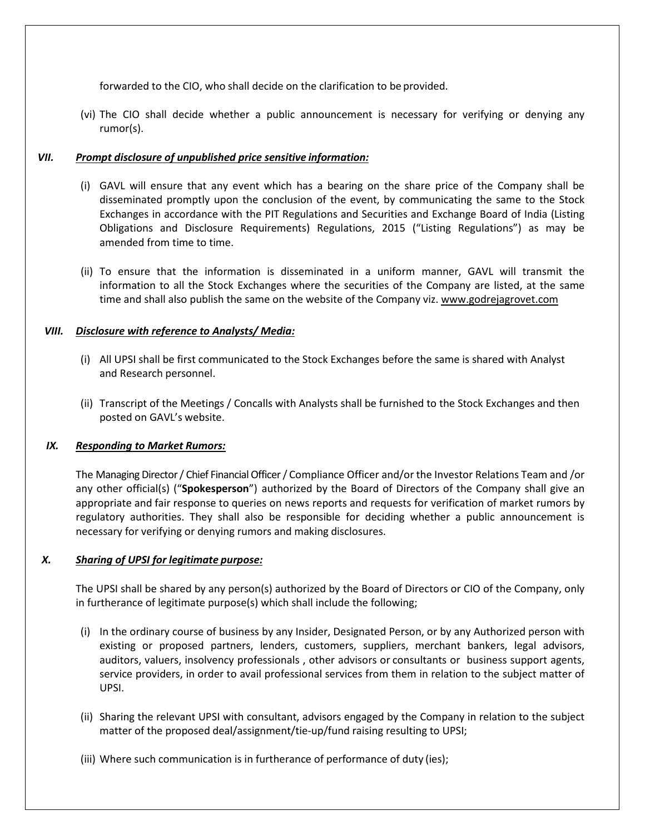forwarded to the CIO, who shall decide on the clarification to be provided.

(vi) The CIO shall decide whether a public announcement is necessary for verifying or denying any rumor(s).

# *VII. Prompt disclosure of unpublished price sensitive information:*

- (i) GAVL will ensure that any event which has a bearing on the share price of the Company shall be disseminated promptly upon the conclusion of the event, by communicating the same to the Stock Exchanges in accordance with the PIT Regulations and Securities and Exchange Board of India (Listing Obligations and Disclosure Requirements) Regulations, 2015 ("Listing Regulations") as may be amended from time to time.
- (ii) To ensure that the information is disseminated in a uniform manner, GAVL will transmit the information to all the Stock Exchanges where the securities of the Company are listed, at the same time and shall also publish the same on the website of the Company viz. [www.godrejagrovet.com](http://www.godrejagrovet.com/)

# *VIII. Disclosure with reference to Analysts/ Media:*

- (i) All UPSI shall be first communicated to the Stock Exchanges before the same is shared with Analyst and Research personnel.
- (ii) Transcript of the Meetings / Concalls with Analysts shall be furnished to the Stock Exchanges and then posted on GAVL's website.

# *IX. Responding to Market Rumors:*

The Managing Director / Chief Financial Officer / Compliance Officer and/or the Investor Relations Team and /or any other official(s) ("**Spokesperson**") authorized by the Board of Directors of the Company shall give an appropriate and fair response to queries on news reports and requests for verification of market rumors by regulatory authorities. They shall also be responsible for deciding whether a public announcement is necessary for verifying or denying rumors and making disclosures.

# *X. Sharing of UPSI for legitimate purpose:*

The UPSI shall be shared by any person(s) authorized by the Board of Directors or CIO of the Company, only in furtherance of legitimate purpose(s) which shall include the following;

- (i) In the ordinary course of business by any Insider, Designated Person, or by any Authorized person with existing or proposed partners, lenders, customers, suppliers, merchant bankers, legal advisors, auditors, valuers, insolvency professionals , other advisors or consultants or business support agents, service providers, in order to avail professional services from them in relation to the subject matter of UPSI.
- (ii) Sharing the relevant UPSI with consultant, advisors engaged by the Company in relation to the subject matter of the proposed deal/assignment/tie-up/fund raising resulting to UPSI;
- (iii) Where such communication is in furtherance of performance of duty (ies);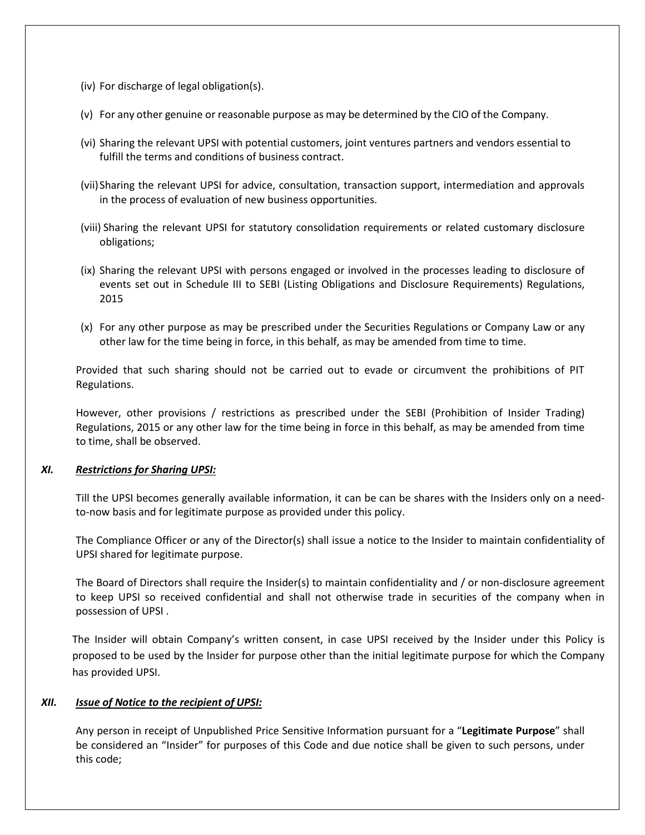- (iv) For discharge of legal obligation(s).
- (v) For any other genuine or reasonable purpose as may be determined by the CIO of the Company.
- (vi) Sharing the relevant UPSI with potential customers, joint ventures partners and vendors essential to fulfill the terms and conditions of business contract.
- (vii)Sharing the relevant UPSI for advice, consultation, transaction support, intermediation and approvals in the process of evaluation of new business opportunities.
- (viii) Sharing the relevant UPSI for statutory consolidation requirements or related customary disclosure obligations;
- (ix) Sharing the relevant UPSI with persons engaged or involved in the processes leading to disclosure of events set out in Schedule III to SEBI (Listing Obligations and Disclosure Requirements) Regulations, 2015
- (x) For any other purpose as may be prescribed under the Securities Regulations or Company Law or any other law for the time being in force, in this behalf, as may be amended from time to time.

Provided that such sharing should not be carried out to evade or circumvent the prohibitions of PIT Regulations.

However, other provisions / restrictions as prescribed under the SEBI (Prohibition of Insider Trading) Regulations, 2015 or any other law for the time being in force in this behalf, as may be amended from time to time, shall be observed.

#### *XI. Restrictions for Sharing UPSI:*

Till the UPSI becomes generally available information, it can be can be shares with the Insiders only on a needto-now basis and for legitimate purpose as provided under this policy.

The Compliance Officer or any of the Director(s) shall issue a notice to the Insider to maintain confidentiality of UPSI shared for legitimate purpose.

The Board of Directors shall require the Insider(s) to maintain confidentiality and / or non-disclosure agreement to keep UPSI so received confidential and shall not otherwise trade in securities of the company when in possession of UPSI .

The Insider will obtain Company's written consent, in case UPSI received by the Insider under this Policy is proposed to be used by the Insider for purpose other than the initial legitimate purpose for which the Company has provided UPSI.

#### *XII. Issue of Notice to the recipient of UPSI:*

Any person in receipt of Unpublished Price Sensitive Information pursuant for a "**Legitimate Purpose**" shall be considered an "Insider" for purposes of this Code and due notice shall be given to such persons, under this code;